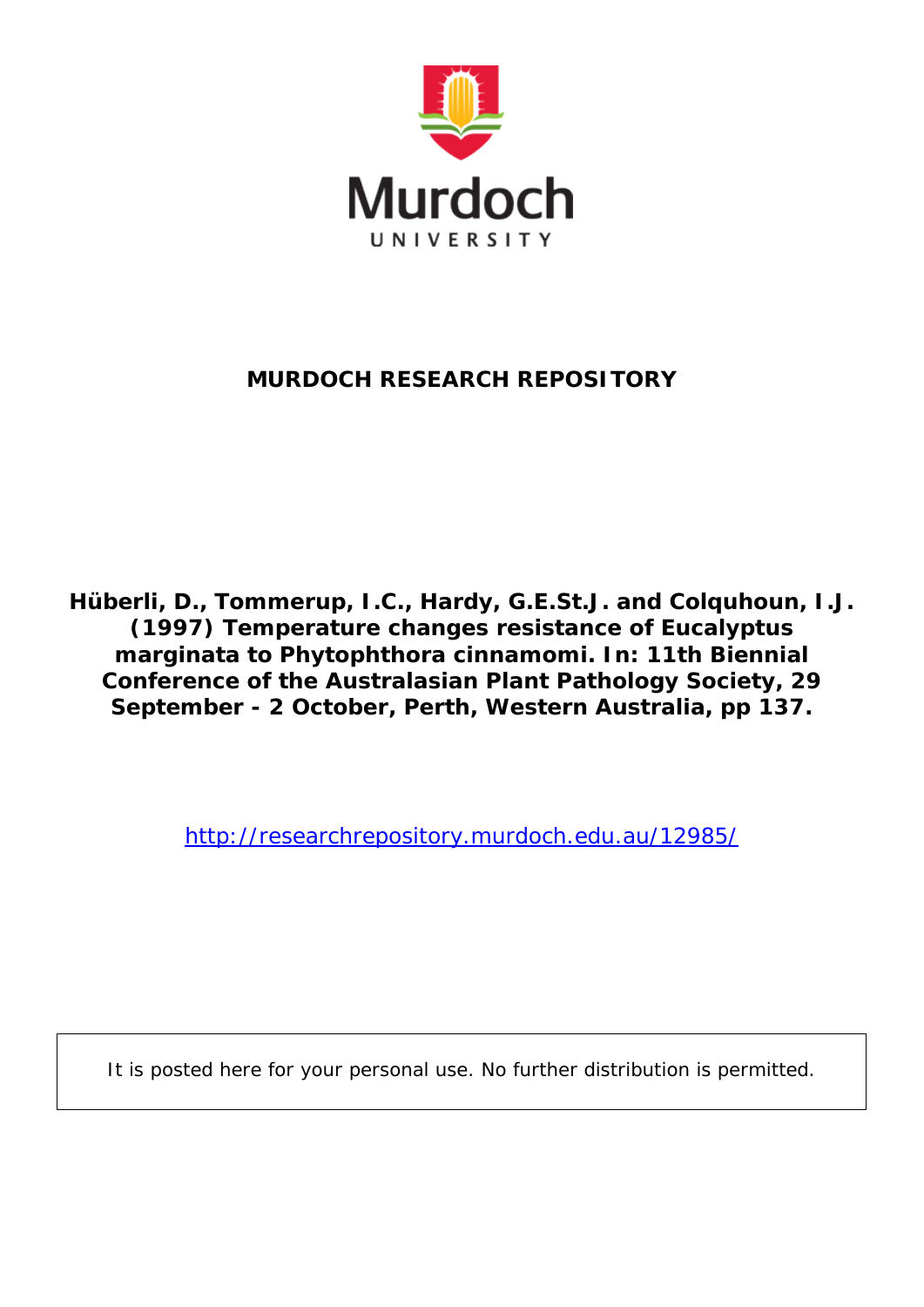

# **MURDOCH RESEARCH REPOSITORY**

**Hüberli, D., Tommerup, I.C., Hardy, G.E.St.J. and Colquhoun, I.J. (1997)** *Temperature changes resistance of Eucalyptus marginata to Phytophthora cinnamomi.* **In: 11th Biennial Conference of the Australasian Plant Pathology Society, 29 September - 2 October, Perth, Western Australia, pp 137.**

<http://researchrepository.murdoch.edu.au/12985/>

It is posted here for your personal use. No further distribution is permitted.